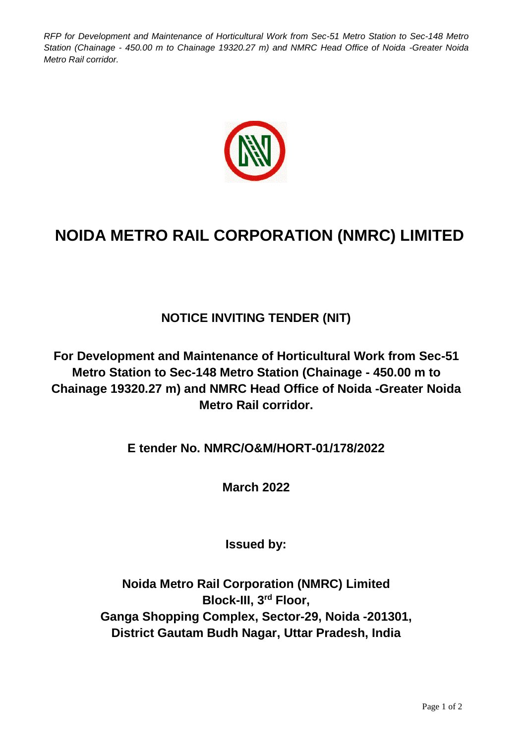*RFP for Development and Maintenance of Horticultural Work from Sec-51 Metro Station to Sec-148 Metro Station (Chainage - 450.00 m to Chainage 19320.27 m) and NMRC Head Office of Noida -Greater Noida Metro Rail corridor.*



## **NOIDA METRO RAIL CORPORATION (NMRC) LIMITED**

## **NOTICE INVITING TENDER (NIT)**

**For Development and Maintenance of Horticultural Work from Sec-51 Metro Station to Sec-148 Metro Station (Chainage - 450.00 m to Chainage 19320.27 m) and NMRC Head Office of Noida -Greater Noida Metro Rail corridor.**

**E tender No. NMRC/O&M/HORT-01/178/2022**

**March 2022**

**Issued by:**

**Noida Metro Rail Corporation (NMRC) Limited Block-III, 3rd Floor, Ganga Shopping Complex, Sector-29, Noida -201301, District Gautam Budh Nagar, Uttar Pradesh, India**